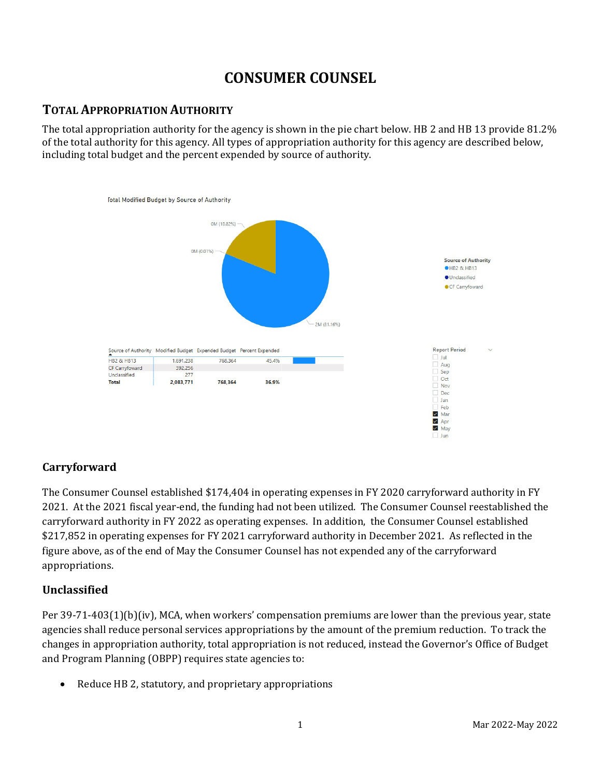# **CONSUMER COUNSEL**

## **TOTAL APPROPRIATION AUTHORITY**

The total appropriation authority for the agency is shown in the pie chart below. HB 2 and HB 13 provide 81.2% of the total authority for this agency. All types of appropriation authority for this agency are described below, including total budget and the percent expended by source of authority.



#### **Carryforward**

The Consumer Counsel established \$174,404 in operating expenses in FY 2020 carryforward authority in FY 2021. At the 2021 fiscal year-end, the funding had not been utilized. The Consumer Counsel reestablished the carryforward authority in FY 2022 as operating expenses. In addition, the Consumer Counsel established \$217,852 in operating expenses for FY 2021 carryforward authority in December 2021. As reflected in the figure above, as of the end of May the Consumer Counsel has not expended any of the carryforward appropriations.

#### **Unclassified**

Per 39-71-403(1)(b)(iv), MCA, when workers' compensation premiums are lower than the previous year, state agencies shall reduce personal services appropriations by the amount of the premium reduction. To track the changes in appropriation authority, total appropriation is not reduced, instead the Governor's Office of Budget and Program Planning (OBPP) requires state agencies to:

• Reduce HB 2, statutory, and proprietary appropriations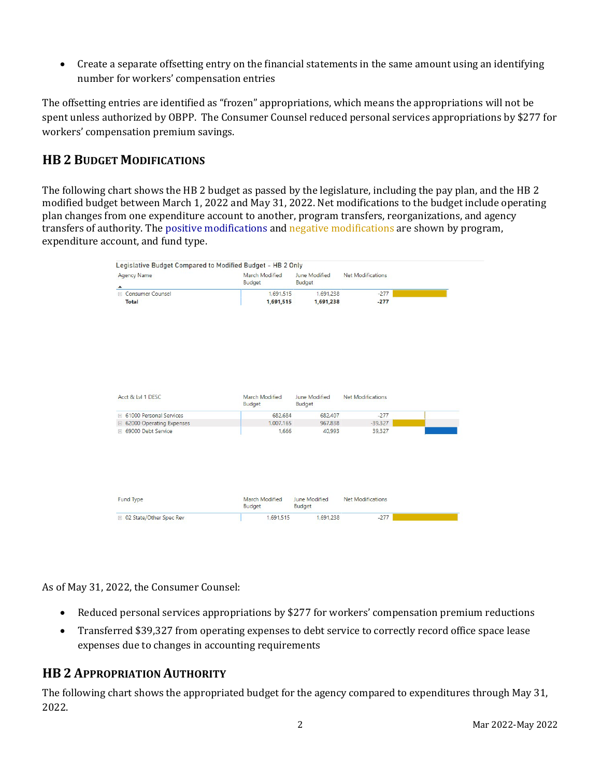• Create a separate offsetting entry on the financial statements in the same amount using an identifying number for workers' compensation entries

The offsetting entries are identified as "frozen" appropriations, which means the appropriations will not be spent unless authorized by OBPP. The Consumer Counsel reduced personal services appropriations by \$277 for workers' compensation premium savings.

## **HB 2 BUDGET MODIFICATIONS**

The following chart shows the HB 2 budget as passed by the legislature, including the pay plan, and the HB 2 modified budget between March 1, 2022 and May 31, 2022. Net modifications to the budget include operating plan changes from one expenditure account to another, program transfers, reorganizations, and agency transfers of authority. The positive modifications and negative modifications are shown by program, expenditure account, and fund type.

| <b>Agency Name</b><br>$\blacktriangle$             | March Modified<br>Budget | June Modified<br>Budget | <b>Net Modifications</b> |
|----------------------------------------------------|--------------------------|-------------------------|--------------------------|
| E Consumer Counsel                                 | 1,691,515                | 1.691.238               | $-277$                   |
| <b>Total</b>                                       | 1,691,515                | 1,691,238               | $-277$                   |
| Acct & Lvl 1 DESC                                  | March Modified           | June Modified           | Net Modifications        |
|                                                    | Budget                   | <b>Budget</b>           |                          |
| <b>E</b> 61000 Personal Services                   | 682.684<br>1,007,165     | 682.407<br>967,838      | $-277$<br>$-39,327$      |
| □ 62000 Operating Expenses<br>⊞ 69000 Debt Service | 1,666                    | 40,993                  | 39,327                   |
|                                                    |                          |                         |                          |
|                                                    | March Modified           | <b>June Modified</b>    | <b>Net Modifications</b> |
| <b>Fund Type</b>                                   | Budget                   | Budget                  |                          |

As of May 31, 2022, the Consumer Counsel:

- Reduced personal services appropriations by \$277 for workers' compensation premium reductions
- Transferred \$39,327 from operating expenses to debt service to correctly record office space lease expenses due to changes in accounting requirements

## **HB 2 APPROPRIATION AUTHORITY**

The following chart shows the appropriated budget for the agency compared to expenditures through May 31, 2022.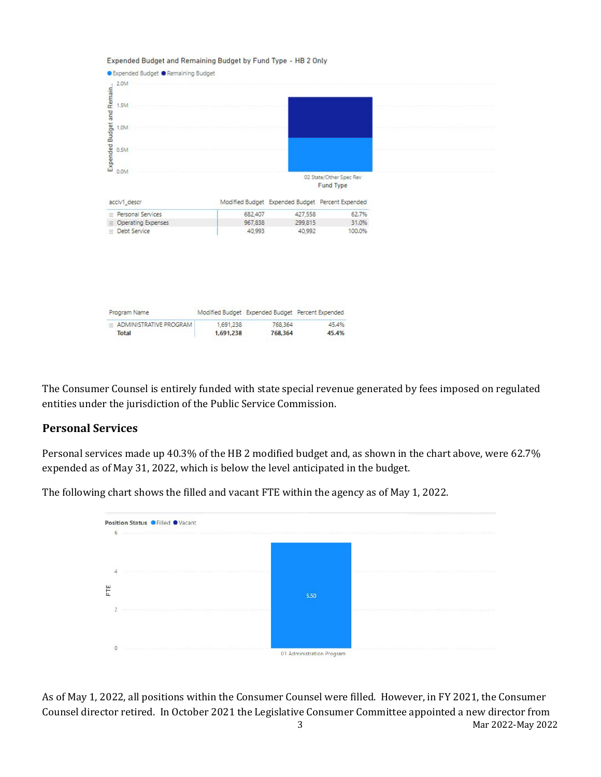

The Consumer Counsel is entirely funded with state special revenue generated by fees imposed on regulated entities under the jurisdiction of the Public Service Commission.

#### **Personal Services**

Personal services made up 40.3% of the HB 2 modified budget and, as shown in the chart above, were 62.7% expended as of May 31, 2022, which is below the level anticipated in the budget.



The following chart shows the filled and vacant FTE within the agency as of May 1, 2022.

3 Mar 2022-May 2022 As of May 1, 2022, all positions within the Consumer Counsel were filled. However, in FY 2021, the Consumer Counsel director retired. In October 2021 the Legislative Consumer Committee appointed a new director from